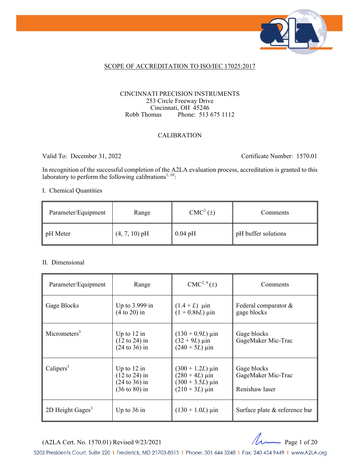

### SCOPE OF ACCREDITATION TO ISO/IEC 17025:2017

#### CINCINNATI PRECISION INSTRUMENTS 253 Circle Freeway Drive Cincinnati, OH 45246 Robb Thomas Phone: 513 675 1112

### CALIBRATION

Valid To: December 31, 2022 Certificate Number: 1570.01

In recognition of the successful completion of the A2LA evaluation process, accreditation is granted to this laboratory to perform the following calibrations<sup>1, 10</sup>:

#### I. Chemical Quantities

| Parameter/Equipment | Range           | CMC <sup>2</sup> (±) | <b>Comments</b>     |
|---------------------|-----------------|----------------------|---------------------|
| pH Meter            | $(4, 7, 10)$ pH | $0.04$ pH            | pH buffer solutions |

#### II. Dimensional

| Parameter/Equipment      | Range                                                                                             | $CMC2, 9(\pm)$                                                                                                                   | Comments                                            |
|--------------------------|---------------------------------------------------------------------------------------------------|----------------------------------------------------------------------------------------------------------------------------------|-----------------------------------------------------|
| Gage Blocks              | Up to $3.999$ in<br>$(4 to 20)$ in                                                                | $(1.4 + L)$ µin<br>$(1 + 0.86L)$ µin                                                                                             | Federal comparator &<br>gage blocks                 |
| Micrometers <sup>3</sup> | Up to $12$ in<br>$(12 \text{ to } 24)$ in<br>$(24 to 36)$ in                                      | $(130 + 0.9L) \,\mu \text{in}$<br>$(32 + 9L) \,\mu \text{in}$<br>$(240 + 5L) \,\mu \text{in}$                                    | Gage blocks<br>GageMaker Mic-Trac                   |
| Calipers $3$             | Up to $12$ in<br>$(12 \text{ to } 24)$ in<br>$(24 \text{ to } 36)$ in<br>$(36 \text{ to } 80)$ in | $(300 + 1.2L) \,\mu \text{in}$<br>$(280 + 4L) \,\mu \text{in}$<br>$(300 + 3.5L) \,\mu \text{in}$<br>$(210 + 3L) \,\mu \text{in}$ | Gage blocks<br>GageMaker Mic-Trac<br>Renishaw laser |
| 2D Height Gages $3$      | Up to $36$ in                                                                                     | $(130 + 1.0L)$ µin                                                                                                               | Surface plate & reference bar                       |



5202 Presidents Court, Suite 220 | Frederick, MD 21703-8515 | Phone: 301 644 3248 | Fax: 240 454 9449 | www.A2LA.org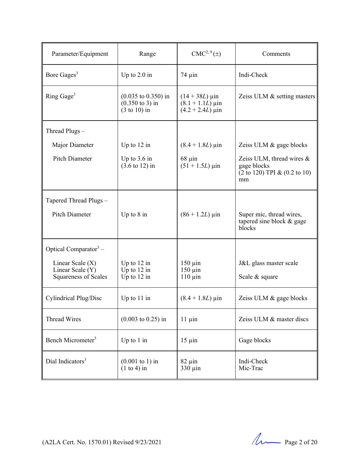| Parameter/Equipment                             | Range                                                                                           | $CMC2, 9(\pm)$                                                                            | Comments                                                                                                |
|-------------------------------------------------|-------------------------------------------------------------------------------------------------|-------------------------------------------------------------------------------------------|---------------------------------------------------------------------------------------------------------|
| Bore Gages <sup>3</sup>                         | Up to $2.0$ in                                                                                  | $74 \mu$ in                                                                               | Indi-Check                                                                                              |
| Ring Gage <sup>3</sup>                          | $(0.035 \text{ to } 0.350) \text{ in}$<br>$(0.350 \text{ to } 3)$ in<br>$(3 \text{ to } 10)$ in | $(14 + 38L) \,\mu \text{in}$<br>$(8.1 + 1.1L) \,\mu \text{in}$<br>$(4.2 + 2.4L) \,\mu$ in | Zeiss ULM & setting masters                                                                             |
| Thread Plugs-                                   |                                                                                                 |                                                                                           |                                                                                                         |
| Major Diameter                                  | Up to $12$ in                                                                                   | $(8.4 + 1.8L) \,\mu \text{in}$                                                            | Zeiss ULM & gage blocks                                                                                 |
| Pitch Diameter                                  | Up to $3.6$ in<br>$(3.6 \text{ to } 12) \text{ in}$                                             | $68 \mu$ in<br>$(51 + 1.5L)$ µin                                                          | Zeiss ULM, thread wires $\&$<br>gage blocks<br>$(2 \text{ to } 120)$ TPI & $(0.2 \text{ to } 10)$<br>mm |
| Tapered Thread Plugs -                          |                                                                                                 |                                                                                           |                                                                                                         |
| <b>Pitch Diameter</b>                           | Up to $8$ in                                                                                    | $(86 + 1.2L) \,\mu \text{in}$                                                             | Super mic, thread wires,<br>tapered sine block & gage<br>blocks                                         |
| Optical Comparator $3$ –                        |                                                                                                 |                                                                                           |                                                                                                         |
| Linear Scale $(X)$                              | Up to $12$ in                                                                                   | $150 \mu$ in                                                                              | J&L glass master scale                                                                                  |
| Linear Scale (Y)<br><b>Squareness of Scales</b> | Up to 12 in<br>Up to $12$ in                                                                    | $150 \mu$ in<br>$110 \mu$ in                                                              | Scale & square                                                                                          |
| Cylindrical Plug/Disc                           | Up to $11$ in                                                                                   | $(8.4 + 1.8L) \,\mu \text{in}$                                                            | Zeiss ULM & gage blocks                                                                                 |
| <b>Thread Wires</b>                             | $(0.003 \text{ to } 0.25)$ in                                                                   | $11 \mu$ in                                                                               | Zeiss ULM & master discs                                                                                |
| Bench Micrometer <sup>3</sup>                   | Up to $1$ in                                                                                    | $15 \mu$ in                                                                               | Gage blocks                                                                                             |
| Dial Indicators <sup>3</sup>                    | $(0.001 \text{ to } 1) \text{ in}$<br>$(1 to 4)$ in                                             | $82 \mu$ in<br>330 µin                                                                    | Indi-Check<br>Mic-Trac                                                                                  |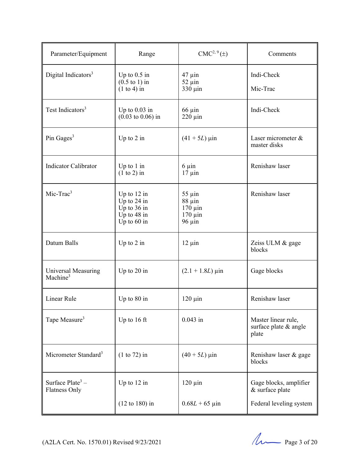| Parameter/Equipment                         | Range                                                                           | $CMC2, 9(\pm)$                                                            | Comments                                                             |
|---------------------------------------------|---------------------------------------------------------------------------------|---------------------------------------------------------------------------|----------------------------------------------------------------------|
| Digital Indicators <sup>3</sup>             | Up to $0.5$ in<br>$(0.5 \text{ to } 1)$ in<br>$(1 to 4)$ in                     | $47 \mu$ in<br>$52 \mu$ in<br>330 µin                                     | Indi-Check<br>Mic-Trac                                               |
| Test Indicators <sup>3</sup>                | Up to $0.03$ in<br>$(0.03 \text{ to } 0.06) \text{ in}$                         | $66 \mu$ in<br>$220 \mu$ in                                               | Indi-Check                                                           |
| Pin Gages <sup>3</sup>                      | Up to $2$ in                                                                    | $(41 + 5L) \,\mu$ in                                                      | Laser micrometer &<br>master disks                                   |
| <b>Indicator Calibrator</b>                 | Up to $1$ in<br>$(1 to 2)$ in                                                   | $6 \mu$ in<br>$17 \mu$ in                                                 | Renishaw laser                                                       |
| $Mic-Trac3$                                 | Up to $12$ in<br>Up to $24$ in<br>Up to 36 in<br>Up to $48$ in<br>Up to $60$ in | $55 \mu$ in<br>$88 \mu$ in<br>$170 \mu$ in<br>$170 \mu$ in<br>$96 \mu$ in | Renishaw laser                                                       |
| Datum Balls                                 | Up to $2$ in                                                                    | $12 \mu$ in                                                               | Zeiss ULM & gage<br>blocks                                           |
| Universal Measuring<br>Machine <sup>3</sup> | Up to $20$ in                                                                   | $(2.1 + 1.8L) \,\mu \text{in}$                                            | Gage blocks                                                          |
| Linear Rule                                 | Up to $80$ in                                                                   | $120 \mu$ in                                                              | Renishaw laser                                                       |
| Tape Measure <sup>3</sup>                   | Up to 16 ft                                                                     | $0.043$ in                                                                | Master linear rule,<br>surface plate & angle<br>plate                |
| Micrometer Standard <sup>3</sup>            | $(1 to 72)$ in                                                                  | $(40 + 5L) \,\mu m$                                                       | Renishaw laser & gage<br>blocks                                      |
| Surface $Place3 -$<br>Flatness Only         | Up to 12 in<br>$(12 \text{ to } 180)$ in                                        | $120 \mu$ in<br>$0.68L + 65 \,\mu m$                                      | Gage blocks, amplifier<br>& surface plate<br>Federal leveling system |

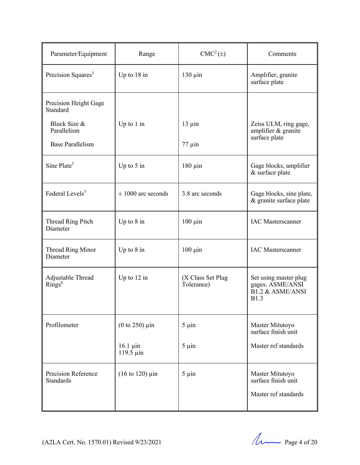| Parameter/Equipment                            | Range                                         | $CMC2(\pm)$                     | Comments                                                                                |
|------------------------------------------------|-----------------------------------------------|---------------------------------|-----------------------------------------------------------------------------------------|
| Precision Squares <sup>3</sup>                 | Up to $18$ in                                 | $130 \mu$ in                    | Amplifier, granite<br>surface plate                                                     |
| Precision Height Gage<br>Standard              |                                               |                                 |                                                                                         |
| Block Size &<br>Parallelism                    | Up to $1$ in                                  | $13 \mu$ in                     | Zeiss ULM, ring gage,<br>amplifier & granite<br>surface plate                           |
| <b>Base Parallelism</b>                        |                                               | $77 \mu$ in                     |                                                                                         |
| Sine Plate <sup>3</sup>                        | Up to $5$ in                                  | $180 \mu$ in                    | Gage blocks, amplifier<br>& surface plate                                               |
| Federal Levels <sup>3</sup>                    | $\pm 1000$ arc seconds                        | 3.8 arc seconds                 | Gage blocks, sine plate,<br>& granite surface plate                                     |
| Thread Ring Pitch<br>Diameter                  | Up to $8$ in                                  | $100 \mu$ in                    | <b>IAC</b> Masterscanner                                                                |
| Thread Ring Minor<br>Diameter                  | Up to $8$ in                                  | $100 \mu$ in                    | <b>IAC</b> Masterscanner                                                                |
| Adjustable Thread<br>Rings <sup>8</sup>        | Up to $12$ in                                 | (X Class Set Plug<br>Tolerance) | Set using master plug<br>gages. ASME/ANSI<br><b>B1.2 &amp; ASME/ANSI</b><br><b>B1.3</b> |
| Profilometer                                   | (0 to 250) $\mu$ in                           | $5 \mu$ in                      | Master Mitutoyo<br>surface finish unit                                                  |
|                                                | $16.1 \mu$ in<br>$119.5 \mu$ in               | $5 \mu$ in                      | Master ref standards                                                                    |
| <b>Precision Reference</b><br><b>Standards</b> | $(16 \text{ to } 120) \text{ } \mu \text{in}$ | $5 \mu$ in                      | Master Mitutoyo<br>surface finish unit                                                  |
|                                                |                                               |                                 | Master ref standards                                                                    |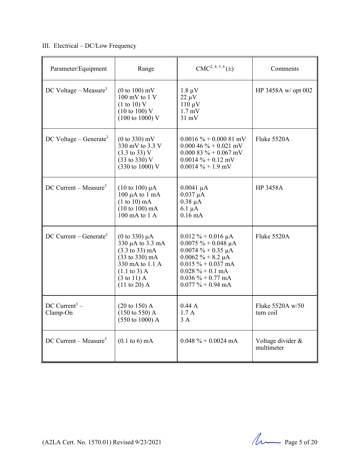# III. Electrical – DC/Low Frequency

| Parameter/Equipment                   | Range                                                                                                                                                                                                               | $CMC2, 4, 5, 6(\pm)$                                                                                                                                                                                         | Comments                        |
|---------------------------------------|---------------------------------------------------------------------------------------------------------------------------------------------------------------------------------------------------------------------|--------------------------------------------------------------------------------------------------------------------------------------------------------------------------------------------------------------|---------------------------------|
| DC Voltage – Measure <sup>3</sup>     | $(0 to 100)$ mV<br>$100 \text{ mV}$ to $1 \text{ V}$<br>(1 to 10) V<br>$(10 \text{ to } 100)$ V<br>$(100 \text{ to } 1000)$ V                                                                                       | $1.8 \mu V$<br>$22 \mu V$<br>$110 \mu V$<br>$1.7 \text{ mV}$<br>$31 \text{ mV}$                                                                                                                              | HP 3458A w/ opt 002             |
| $DC$ Voltage – Generate <sup>3</sup>  | $(0 to 330)$ mV<br>330 mV to 3.3 V<br>$(3.3 \text{ to } 33) \text{ V}$<br>(33 to 330) V<br>(330 to 1000) V                                                                                                          | $0.0016\% + 0.00081$ mV<br>$0.00046\% + 0.021$ mV<br>$0.00083% + 0.067$ mV<br>$0.0014 \% + 0.12$ mV<br>$0.0014 \% + 1.9$ mV                                                                                  | Fluke 5520A                     |
| DC Current – Measure <sup>3</sup>     | $(10 \text{ to } 100) \mu A$<br>$100 \mu A$ to $1 \text{ mA}$<br>$(1 to 10)$ mA<br>$(10 to 100)$ mA<br>$100 \text{ mA}$ to $1 \text{ A}$                                                                            | $0.0041 \mu A$<br>$0.037 \mu A$<br>$0.38 \mu A$<br>$6.1 \mu A$<br>$0.16 \text{ mA}$                                                                                                                          | <b>HP 3458A</b>                 |
| DC Current – Generate <sup>3</sup>    | (0 to 330) $\mu$ A<br>330 µA to 3.3 mA<br>$(3.3 \text{ to } 33) \text{ mA}$<br>$(33 \text{ to } 330) \text{ mA}$<br>330 mA to 1.1 A<br>$(1.1 \text{ to } 3)$ A<br>$(3 \text{ to } 11)$ A<br>$(11 \text{ to } 20)$ A | $0.012 \% + 0.016 \mu A$<br>$0.0075 \% + 0.048 \mu A$<br>$0.0074 \% + 0.35 \mu A$<br>$0.0062 \% + 8.2 \mu A$<br>$0.015 \% + 0.037$ mA<br>$0.028 \% + 0.1 mA$<br>$0.036 \% + 0.77$ mA<br>$0.077 \% + 0.94$ mA | Fluke 5520A                     |
| DC Current <sup>3</sup> –<br>Clamp-On | $(20 \text{ to } 150)$ A<br>$(150 \text{ to } 550)$ A<br>$(550 \text{ to } 1000)$ A                                                                                                                                 | 0.44A<br>1.7A<br>3 A                                                                                                                                                                                         | Fluke 5520A w/50<br>turn coil   |
| $DC$ Current – Measure <sup>3</sup>   | $(0.1 \text{ to } 6) \text{ mA}$                                                                                                                                                                                    | $0.048 \% + 0.0024$ mA                                                                                                                                                                                       | Voltage divider &<br>multimeter |

(A2LA Cert. No. 1570.01) Revised 9/23/2021 Page 5 of 20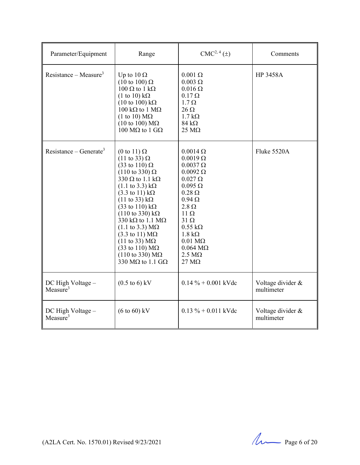| Parameter/Equipment                       | Range                                                                                                                                                                                                                                                                                                                                                                                                                                                                                                                                                                                                                                                                          | $CMC2, 4(\pm)$                                                                                                                                                                                                                                                                                                                                         | Comments                        |
|-------------------------------------------|--------------------------------------------------------------------------------------------------------------------------------------------------------------------------------------------------------------------------------------------------------------------------------------------------------------------------------------------------------------------------------------------------------------------------------------------------------------------------------------------------------------------------------------------------------------------------------------------------------------------------------------------------------------------------------|--------------------------------------------------------------------------------------------------------------------------------------------------------------------------------------------------------------------------------------------------------------------------------------------------------------------------------------------------------|---------------------------------|
| Resistance – Measure <sup>3</sup>         | Up to $10 \Omega$<br>$(10 \text{ to } 100) \Omega$<br>$100 \Omega$ to $1 k\Omega$<br>$(1 \text{ to } 10) \text{ k}\Omega$<br>$(10 \text{ to } 100) \text{ k}\Omega$<br>100 k $\Omega$ to 1 M $\Omega$<br>$(1 \text{ to } 10) \text{ M}\Omega$<br>$(10 \text{ to } 100) \text{ M}\Omega$<br>100 MΩ to 1 GΩ                                                                                                                                                                                                                                                                                                                                                                      | $0.001 \Omega$<br>$0.003 \Omega$<br>$0.016 \Omega$<br>$0.17 \Omega$<br>$1.7 \Omega$<br>$26 \Omega$<br>$1.7 k\Omega$<br>$84 \text{ k}\Omega$<br>$25 \text{ M}\Omega$                                                                                                                                                                                    | <b>HP 3458A</b>                 |
| Resistance – Generate <sup>3</sup>        | $(0 \text{ to } 11) \Omega$<br>$(11 \text{ to } 33) \Omega$<br>$(33 \text{ to } 110) \Omega$<br>$(110 \text{ to } 330) \Omega$<br>330 $\Omega$ to 1.1 k $\Omega$<br>$(1.1 \text{ to } 3.3) \text{ k}\Omega$<br>$(3.3 \text{ to } 11) \text{ k}\Omega$<br>$(11 \text{ to } 33) \text{ k}\Omega$<br>$(33 \text{ to } 110) \text{ k}\Omega$<br>$(110 \text{ to } 330) \text{ k}\Omega$<br>330 k $\Omega$ to 1.1 M $\Omega$<br>$(1.1 \text{ to } 3.3) \text{ M}\Omega$<br>$(3.3 \text{ to } 11) \text{ M}\Omega$<br>$(11 \text{ to } 33) \text{ M}\Omega$<br>$(33 \text{ to } 110) \text{ M}\Omega$<br>$(110 \text{ to } 330) \text{ M}\Omega$<br>330 M $\Omega$ to 1.1 G $\Omega$ | $0.0014 \Omega$<br>$0.0019 \Omega$<br>$0.0037 \Omega$<br>$0.0092 \Omega$<br>$0.027 \Omega$<br>$0.095 \Omega$<br>$0.28 \Omega$<br>$0.94\ \Omega$<br>$2.8 \Omega$<br>$11 \Omega$<br>$31 \Omega$<br>$0.55 \text{ k}\Omega$<br>$1.8 \text{ k}\Omega$<br>$0.01 \text{ M}\Omega$<br>$0.064 \text{ M}\Omega$<br>$2.5 \text{ M}\Omega$<br>$27 \text{ M}\Omega$ | Fluke 5520A                     |
| DC High Voltage -<br>Measure <sup>3</sup> | $(0.5 \text{ to } 6) \text{ kV}$                                                                                                                                                                                                                                                                                                                                                                                                                                                                                                                                                                                                                                               | $0.14 \% + 0.001$ kVdc                                                                                                                                                                                                                                                                                                                                 | Voltage divider &<br>multimeter |
| DC High Voltage -<br>Measure $3$          | $(6 \text{ to } 60) \text{ kV}$                                                                                                                                                                                                                                                                                                                                                                                                                                                                                                                                                                                                                                                | $0.13 \% + 0.011$ kVdc                                                                                                                                                                                                                                                                                                                                 | Voltage divider &<br>multimeter |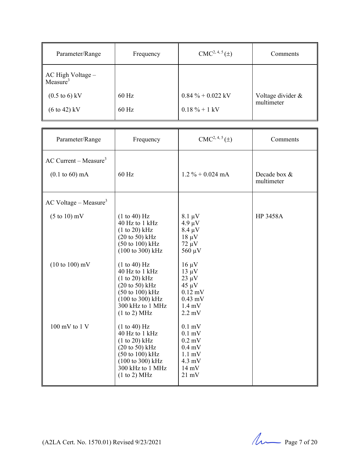| Parameter/Range                                       | Frequency | $CMC2, 4, 5(\pm)$    | Comments                        |
|-------------------------------------------------------|-----------|----------------------|---------------------------------|
| $\parallel$ AC High Voltage –<br>Measure <sup>3</sup> |           |                      |                                 |
| $(0.5 \text{ to } 6) \text{ kV}$                      | $60$ Hz   | $0.84 \% + 0.022$ kV | Voltage divider &<br>multimeter |
| $(6 \text{ to } 42) \text{ kV}$                       | $60$ Hz   | $0.18 \% + 1$ kV     |                                 |

| Parameter/Range                                                        | Frequency                                                                                                                                                                                               | $CMC2, 4, 5(\pm)$                                                                                                          | Comments                   |
|------------------------------------------------------------------------|---------------------------------------------------------------------------------------------------------------------------------------------------------------------------------------------------------|----------------------------------------------------------------------------------------------------------------------------|----------------------------|
| AC Current – Measure <sup>3</sup><br>$(0.1 \text{ to } 60) \text{ mA}$ | 60 Hz                                                                                                                                                                                                   | $1.2 \% + 0.024$ mA                                                                                                        | Decade box &<br>multimeter |
| $AC$ Voltage – Measure <sup>3</sup>                                    |                                                                                                                                                                                                         |                                                                                                                            |                            |
| $(5 \text{ to } 10) \text{ mV}$                                        | (1 to 40) Hz<br>40 Hz to 1 kHz<br>(1 to 20) kHz<br>$(20 \text{ to } 50) \text{ kHz}$<br>(50 to 100) kHz<br>(100 to 300) kHz                                                                             | $8.1 \mu V$<br>$4.9 \mu V$<br>$8.4 \mu V$<br>$18 \mu V$<br>$72 \mu V$<br>$560 \mu V$                                       | <b>HP 3458A</b>            |
| $(10 \text{ to } 100) \text{ mV}$                                      | (1 to 40) Hz<br>40 Hz to 1 kHz<br>(1 to 20) kHz<br>$(20 \text{ to } 50) \text{ kHz}$<br>$(50 \text{ to } 100) \text{ kHz}$<br>(100 to 300) kHz<br>300 kHz to 1 MHz<br>(1 to 2) MHz                      | $16 \mu V$<br>$13 \mu V$<br>$23 \mu V$<br>$45 \mu V$<br>$0.12$ mV<br>$0.43$ mV<br>$1.4 \text{ mV}$<br>$2.2 \text{ mV}$     |                            |
| $100 \text{ mV}$ to $1 \text{ V}$                                      | (1 to 40) Hz<br>40 Hz to 1 kHz<br>$(1 to 20)$ kHz<br>$(20 \text{ to } 50) \text{ kHz}$<br>$(50 \text{ to } 100) \text{ kHz}$<br>$(100 \text{ to } 300) \text{ kHz}$<br>300 kHz to 1 MHz<br>(1 to 2) MHz | $0.1$ mV<br>$0.1$ mV<br>$0.2$ mV<br>$0.4$ mV<br>$1.1 \text{ mV}$<br>$4.3 \text{ mV}$<br>$14 \text{ mV}$<br>$21 \text{ mV}$ |                            |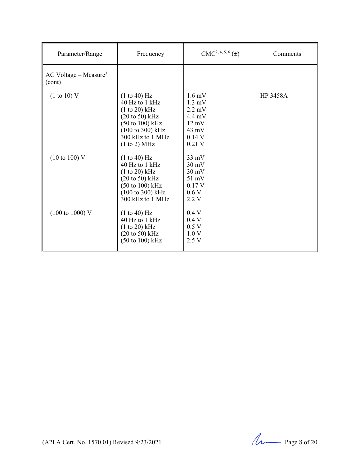| Parameter/Range                               | Frequency                                                                                                                                                                            | $CMC2, 4, 5, 6(\pm)$                                                                                                          | Comments        |
|-----------------------------------------------|--------------------------------------------------------------------------------------------------------------------------------------------------------------------------------------|-------------------------------------------------------------------------------------------------------------------------------|-----------------|
| $AC$ Voltage – Measure <sup>3</sup><br>(cont) |                                                                                                                                                                                      |                                                                                                                               |                 |
| (1 to 10) V                                   | (1 to 40) Hz<br>40 Hz to 1 kHz<br>$(1 to 20)$ kHz<br>$(20 \text{ to } 50) \text{ kHz}$<br>$(50 \text{ to } 100) \text{ kHz}$<br>(100 to 300) kHz<br>300 kHz to 1 MHz<br>(1 to 2) MHz | $1.6 \text{ mV}$<br>$1.3 \text{ mV}$<br>$2.2 \text{ mV}$<br>$4.4 \text{ mV}$<br>$12 \text{ mV}$<br>43 mV<br>0.14V<br>$0.21$ V | <b>HP 3458A</b> |
| $(10 \text{ to } 100) \text{ V}$              | (1 to 40) Hz<br>40 Hz to 1 kHz<br>(1 to 20) kHz<br>$(20 \text{ to } 50)$ kHz<br>$(50 \text{ to } 100) \text{ kHz}$<br>(100 to 300) kHz<br>300 kHz to 1 MHz                           | $33 \text{ mV}$<br>$30 \text{ mV}$<br>$30 \text{ mV}$<br>$51 \text{ mV}$<br>0.17 V<br>0.6V<br>2.2 V                           |                 |
| $(100 \text{ to } 1000) \text{ V}$            | (1 to 40) Hz<br>40 Hz to 1 kHz<br>(1 to 20) kHz<br>$(20 \text{ to } 50) \text{ kHz}$<br>$(50 \text{ to } 100) \text{ kHz}$                                                           | 0.4V<br>0.4V<br>0.5V<br>1.0V<br>2.5V                                                                                          |                 |

 $(A2LA$  Cert. No. 1570.01) Revised 9/23/2021 Page 8 of 20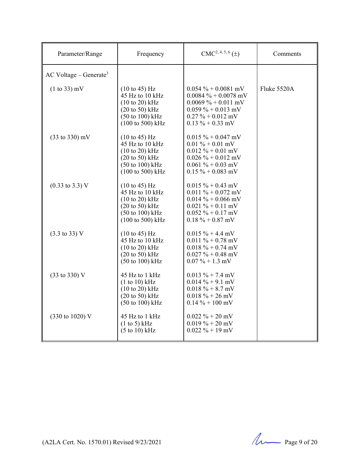| Parameter/Range                      | Frequency                                                                                                                                                                          | $CMC2, 4, 5, 6(\pm)$                                                                                                                              | Comments    |
|--------------------------------------|------------------------------------------------------------------------------------------------------------------------------------------------------------------------------------|---------------------------------------------------------------------------------------------------------------------------------------------------|-------------|
| $AC$ Voltage – Generate <sup>3</sup> |                                                                                                                                                                                    |                                                                                                                                                   |             |
| $(1 to 33)$ mV                       | $(10 \text{ to } 45)$ Hz<br>45 Hz to 10 kHz<br>$(10 \text{ to } 20)$ kHz<br>$(20 \text{ to } 50)$ kHz<br>$(50 \text{ to } 100) \text{ kHz}$<br>$(100 \text{ to } 500) \text{ kHz}$ | $0.054\% + 0.0081$ mV<br>$0.0084 \% + 0.0078$ mV<br>$0.0069 \% + 0.011$ mV<br>$0.059\% + 0.013$ mV<br>$0.27 \% + 0.012$ mV<br>$0.13 \% + 0.33$ mV | Fluke 5520A |
| $(33 \text{ to } 330) \text{ mV}$    | $(10 \text{ to } 45)$ Hz<br>45 Hz to 10 kHz<br>$(10 \text{ to } 20)$ kHz<br>$(20 \text{ to } 50)$ kHz<br>$(50 \text{ to } 100) \text{ kHz}$<br>$(100 \text{ to } 500) \text{ kHz}$ | $0.015 \% + 0.047$ mV<br>$0.01 \% + 0.01$ mV<br>$0.012 \% + 0.01$ mV<br>$0.026 \% + 0.012$ mV<br>$0.061 \% + 0.03$ mV<br>$0.15 \% + 0.083$ mV     |             |
| $(0.33 \text{ to } 3.3) \text{ V}$   | $(10 \text{ to } 45)$ Hz<br>45 Hz to 10 kHz<br>$(10 \text{ to } 20)$ kHz<br>$(20 \text{ to } 50)$ kHz<br>$(50 \text{ to } 100) \text{ kHz}$<br>(100 to 500) kHz                    | $0.015 \% + 0.43$ mV<br>$0.011 \% + 0.072$ mV<br>$0.014 \% + 0.066$ mV<br>$0.021 \% + 0.11$ mV<br>$0.052 \% + 0.17$ mV<br>$0.18 \% + 0.87$ mV     |             |
| $(3.3 \text{ to } 33) \text{ V}$     | $(10 \text{ to } 45)$ Hz<br>45 Hz to 10 kHz<br>$(10 \text{ to } 20)$ kHz<br>$(20 \text{ to } 50)$ kHz<br>$(50 \text{ to } 100) \text{ kHz}$                                        | $0.015 \% + 4.4 mV$<br>$0.011 \% + 0.78$ mV<br>$0.018 \% + 0.74$ mV<br>$0.027 \% + 0.48$ mV<br>$0.07\% + 1.3$ mV                                  |             |
| (33 to 330) V                        | 45 Hz to 1 kHz<br>(1 to 10) kHz<br>$(10 \text{ to } 20)$ kHz<br>$(20 \text{ to } 50)$ kHz<br>$(50 \text{ to } 100) \text{ kHz}$                                                    | $0.013 \% + 7.4$ mV<br>$0.014\% + 9.1$ mV<br>$0.018 \% + 8.7$ mV<br>$0.018 \% + 26$ mV<br>$0.14 \% + 100$ mV                                      |             |
| (330 to 1020) V                      | 45 Hz to 1 kHz<br>(1 to 5) kHz<br>$(5 \text{ to } 10) \text{ kHz}$                                                                                                                 | $0.022 \% + 20$ mV<br>$0.019\% + 20$ mV<br>$0.022 \% + 19$ mV                                                                                     |             |

 $(A2LA$  Cert. No. 1570.01) Revised 9/23/2021 Page 9 of 20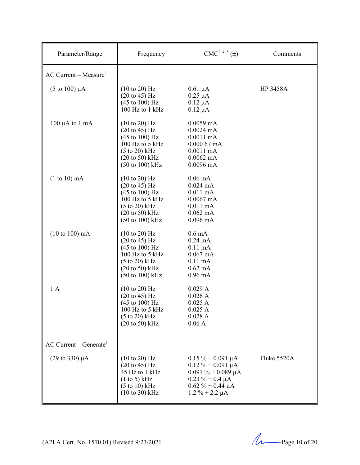| Parameter/Range                      | Frequency                                                                                                                                                                                                           | $CMC2, 4, 5(\pm)$                                                                                                                                         | Comments    |
|--------------------------------------|---------------------------------------------------------------------------------------------------------------------------------------------------------------------------------------------------------------------|-----------------------------------------------------------------------------------------------------------------------------------------------------------|-------------|
| $AC$ Current – Measure <sup>3</sup>  |                                                                                                                                                                                                                     |                                                                                                                                                           |             |
| $(5 \text{ to } 100) \mu A$          | $(10 \text{ to } 20)$ Hz<br>$(20 \text{ to } 45) \text{ Hz}$<br>$(45 \text{ to } 100) \text{ Hz}$<br>100 Hz to 1 kHz                                                                                                | $0.61 \mu A$<br>$0.25 \mu A$<br>$0.12 \mu A$<br>$0.12 \mu A$                                                                                              | HP 3458A    |
| $100 \mu A$ to $1 \text{ mA}$        | $(10 \text{ to } 20)$ Hz<br>$(20 \text{ to } 45) \text{ Hz}$<br>$(45 \text{ to } 100) \text{ Hz}$<br>100 Hz to 5 kHz<br>$(5 \text{ to } 20)$ kHz<br>$(20 \text{ to } 50)$ kHz<br>(50 to 100) kHz                    | $0.0059$ mA<br>$0.0024 \text{ mA}$<br>$0.0011$ mA<br>$0.00067$ mA<br>$0.0011$ mA<br>$0.0062 \text{ mA}$<br>$0.0096$ mA                                    |             |
| $(1 to 10)$ mA                       | $(10 \text{ to } 20)$ Hz<br>$(20 \text{ to } 45)$ Hz<br>$(45 \text{ to } 100) \text{ Hz}$<br>100 Hz to 5 kHz<br>$(5 \text{ to } 20)$ kHz<br>$(20 \text{ to } 50)$ kHz<br>$(50 \text{ to } 100) \text{ kHz}$         | $0.06 \text{ mA}$<br>$0.024$ mA<br>$0.011$ mA<br>$0.0067$ mA<br>$0.011$ mA<br>$0.062$ mA<br>$0.096$ mA                                                    |             |
| $(10 to 100)$ mA                     | $(10 \text{ to } 20)$ Hz<br>$(20 \text{ to } 45)$ Hz<br>$(45 \text{ to } 100) \text{ Hz}$<br>100 Hz to 5 kHz<br>$(5 \text{ to } 20)$ kHz<br>$(20 \text{ to } 50) \text{ kHz}$<br>$(50 \text{ to } 100) \text{ kHz}$ | $0.6 \text{ mA}$<br>$0.24 \text{ mA}$<br>$0.11 \text{ mA}$<br>$0.067$ mA<br>$0.11 \text{ mA}$<br>$0.62 \text{ mA}$<br>$0.96 \text{ mA}$                   |             |
| 1A                                   | $(10 \text{ to } 20)$ Hz<br>$(20 \text{ to } 45)$ Hz<br>$(45 \text{ to } 100) \text{ Hz}$<br>100 Hz to 5 kHz<br>$(5 to 20)$ kHz<br>$(20 \text{ to } 50)$ kHz                                                        | 0.029A<br>0.026A<br>0.025A<br>0.025A<br>0.028A<br>0.06A                                                                                                   |             |
| $AC$ Current – Generate <sup>3</sup> |                                                                                                                                                                                                                     |                                                                                                                                                           |             |
| $(29 \text{ to } 330) \mu\text{A}$   | $(10 \text{ to } 20)$ Hz<br>$(20 \text{ to } 45) \text{ Hz}$<br>45 Hz to 1 kHz<br>$(1 \text{ to } 5)$ kHz<br>$(5 \text{ to } 10) \text{ kHz}$<br>$(10 \text{ to } 30) \text{ kHz}$                                  | $0.15 \% + 0.091 \mu A$<br>$0.12 \% + 0.091 \mu A$<br>$0.097 \% + 0.089 \mu A$<br>$0.23 \% + 0.4 \mu A$<br>$0.62 \% + 0.44 \mu A$<br>$1.2 \% + 2.2 \mu A$ | Fluke 5520A |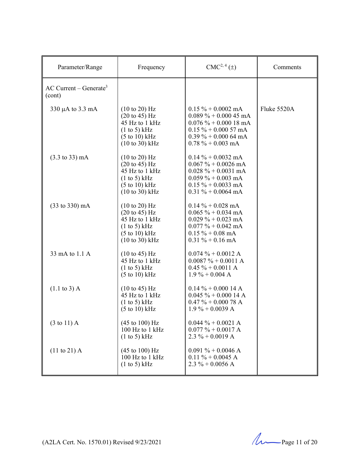| Parameter/Range                              | Frequency                                                                                                                                                    | CMC <sup>2, 4</sup> (±)                                                                                                                                                     | Comments    |
|----------------------------------------------|--------------------------------------------------------------------------------------------------------------------------------------------------------------|-----------------------------------------------------------------------------------------------------------------------------------------------------------------------------|-------------|
| AC Current – Generate <sup>3</sup><br>(cont) |                                                                                                                                                              |                                                                                                                                                                             |             |
| 330 µA to 3.3 mA                             | (10 to 20) Hz<br>$(20 \text{ to } 45) \text{ Hz}$<br>45 Hz to 1 kHz<br>(1 to 5) kHz<br>$(5 \text{ to } 10) \text{ kHz}$<br>$(10 \text{ to } 30) \text{ kHz}$ | $0.15\% + 0.0002$ mA<br>$0.089\% + 0.00045 \text{ mA}$<br>$0.076\% + 0.00018 \text{ mA}$<br>$0.15 \% + 0.00057$ mA<br>$0.39\% + 0.00064 \text{ mA}$<br>$0.78 \% + 0.003$ mA | Fluke 5520A |
| $(3.3 \text{ to } 33) \text{ mA}$            | (10 to 20) Hz<br>$(20 \text{ to } 45) \text{ Hz}$<br>45 Hz to 1 kHz<br>(1 to 5) kHz<br>$(5 \text{ to } 10) \text{ kHz}$<br>$(10 \text{ to } 30)$ kHz         | $0.14\% + 0.0032 \text{ mA}$<br>$0.067 \% + 0.0026$ mA<br>$0.028 \% + 0.0031$ mA<br>$0.059 \% + 0.003$ mA<br>$0.15 \% + 0.0033$ mA<br>$0.31 \% + 0.0064$ mA                 |             |
| $(33 \text{ to } 330) \text{ mA}$            | (10 to 20) Hz<br>$(20 \text{ to } 45) \text{ Hz}$<br>45 Hz to 1 kHz<br>(1 to 5) kHz<br>$(5 \text{ to } 10) \text{ kHz}$<br>$(10 \text{ to } 30) \text{ kHz}$ | $0.14\% + 0.028 \text{ mA}$<br>$0.065 \% + 0.034 \text{ mA}$<br>$0.029 \% + 0.023$ mA<br>$0.077 \% + 0.042$ mA<br>$0.15 \% + 0.08$ mA<br>$0.31 \% + 0.16$ mA                |             |
| 33 mA to 1.1 A                               | $(10 \text{ to } 45)$ Hz<br>45 Hz to 1 kHz<br>(1 to 5) kHz<br>$(5 \text{ to } 10) \text{ kHz}$                                                               | $0.074 \% + 0.0012 A$<br>$0.0087 \% + 0.0011 A$<br>$0.45 \% + 0.0011 A$<br>$1.9\% + 0.004$ A                                                                                |             |
| $(1.1 \text{ to } 3)$ A                      | $(10 \text{ to } 45)$ Hz<br>45 Hz to 1 kHz<br>(1 to 5) kHz<br>$(5 \text{ to } 10) \text{ kHz}$                                                               | $0.14\% + 0.00014$ A<br>$0.045 \% + 0.00014 A$<br>$0.47 \% + 0.000 78 A$<br>$1.9\% + 0.0039$ A                                                                              |             |
| $(3 \text{ to } 11)$ A                       | (45 to 100) Hz<br>100 Hz to 1 kHz<br>(1 to 5) kHz                                                                                                            | $0.044 \% + 0.0021 A$<br>$0.077 \% + 0.0017 A$<br>$2.3 \% + 0.0019 A$                                                                                                       |             |
| $(11 \text{ to } 21)$ A                      | $(45 \text{ to } 100) \text{ Hz}$<br>100 Hz to 1 kHz<br>(1 to 5) kHz                                                                                         | $0.091 \% + 0.0046 A$<br>$0.11 \% + 0.0045 A$<br>$2.3 \% + 0.0056 A$                                                                                                        |             |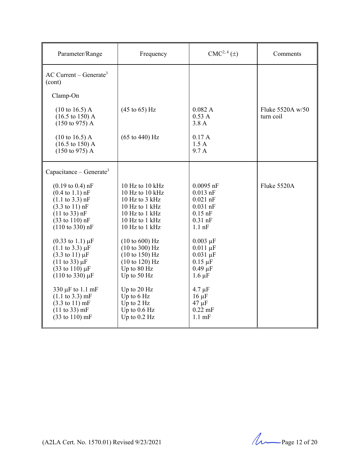| Parameter/Range                                                                                                                                                                                                                                                                                             | Frequency                                                                                                                                          | $CMC2, 4(\pm)$                                                                                               | Comments                        |
|-------------------------------------------------------------------------------------------------------------------------------------------------------------------------------------------------------------------------------------------------------------------------------------------------------------|----------------------------------------------------------------------------------------------------------------------------------------------------|--------------------------------------------------------------------------------------------------------------|---------------------------------|
| $AC$ Current – Generate <sup>3</sup><br>(cont)                                                                                                                                                                                                                                                              |                                                                                                                                                    |                                                                                                              |                                 |
| Clamp-On                                                                                                                                                                                                                                                                                                    |                                                                                                                                                    |                                                                                                              |                                 |
| $(10 \text{ to } 16.5) \text{ A}$<br>$(16.5 \text{ to } 150)$ A<br>$(150 \text{ to } 975)$ A                                                                                                                                                                                                                | $(45 \text{ to } 65) \text{ Hz}$                                                                                                                   | 0.082 A<br>0.53A<br>3.8A                                                                                     | Fluke $5520A w/50$<br>turn coil |
| $(10 \text{ to } 16.5)$ A<br>$(16.5 \text{ to } 150) \text{ A}$<br>$(150 \text{ to } 975)$ A                                                                                                                                                                                                                | $(65 \text{ to } 440) \text{ Hz}$                                                                                                                  | 0.17A<br>1.5A<br>9.7 A                                                                                       |                                 |
| Capacitance – Generate <sup>3</sup>                                                                                                                                                                                                                                                                         |                                                                                                                                                    |                                                                                                              |                                 |
| $(0.19 \text{ to } 0.4) \text{ nF}$<br>$(0.4 \text{ to } 1.1) \text{ nF}$<br>$(1.1 \text{ to } 3.3) \text{ nF}$<br>$(3.3 \text{ to } 11) \text{ nF}$<br>$(11 \text{ to } 33) \text{ nF}$<br>$(33 \text{ to } 110) \text{ nF}$<br>$(110 \text{ to } 330) \text{ nF}$<br>$(0.33 \text{ to } 1.1) \mu\text{F}$ | 10 Hz to 10 kHz<br>10 Hz to 10 kHz<br>10 Hz to $3$ kHz<br>10 Hz to $1$ kHz<br>10 Hz to 1 kHz<br>10 Hz to 1 kHz<br>10 Hz to 1 kHz<br>(10 to 600) Hz | $0.0095$ nF<br>$0.013$ nF<br>$0.021$ nF<br>$0.031$ nF<br>$0.15$ nF<br>$0.31$ nF<br>$1.1$ nF<br>$0.003 \mu F$ | Fluke 5520A                     |
| $(1.1 \text{ to } 3.3) \mu F$<br>$(3.3 \text{ to } 11) \mu F$<br>$(11 \text{ to } 33) \mu F$<br>$(33 \text{ to } 110) \,\mu\text{F}$<br>$(110 \text{ to } 330) \mu F$                                                                                                                                       | (10 to 300) Hz<br>(10 to 150) Hz<br>(10 to 120) Hz<br>Up to 80 Hz<br>Up to 50 Hz                                                                   | $0.011 \mu F$<br>$0.031 \mu F$<br>$0.15 \mu F$<br>$0.49 \mu F$<br>$1.6 \mu F$                                |                                 |
| 330 µF to 1.1 mF<br>$(1.1 \text{ to } 3.3) \text{ mF}$<br>$(3.3 \text{ to } 11) \text{ mF}$<br>(11 to 33) mF<br>$(33 \text{ to } 110) \text{ mF}$                                                                                                                                                           | Up to 20 Hz<br>Up to 6 Hz<br>Up to $2$ Hz<br>Up to $0.6$ Hz<br>Up to $0.2$ Hz                                                                      | $4.7 \mu F$<br>$16 \mu F$<br>$47 \mu F$<br>$0.22$ mF<br>$1.1 \text{ mF}$                                     |                                 |

 $(A2LA$  Cert. No. 1570.01) Revised 9/23/2021  $\mu$  Page 12 of 20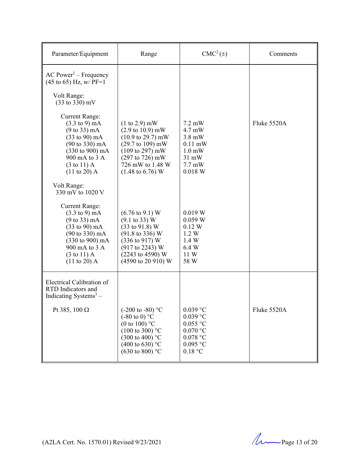| Parameter/Equipment                                                                                                                                                                                                                                                               | Range                                                                                                                                                                                                                                                     | $CMC2(\pm)$                                                                                                                                           | Comments    |
|-----------------------------------------------------------------------------------------------------------------------------------------------------------------------------------------------------------------------------------------------------------------------------------|-----------------------------------------------------------------------------------------------------------------------------------------------------------------------------------------------------------------------------------------------------------|-------------------------------------------------------------------------------------------------------------------------------------------------------|-------------|
| $AC Power3 - Frequency$<br>$(45 \text{ to } 65)$ Hz, w/ PF=1<br>Volt Range:<br>(33 to 330) mV                                                                                                                                                                                     |                                                                                                                                                                                                                                                           |                                                                                                                                                       |             |
| <b>Current Range:</b><br>$(3.3 \text{ to } 9) \text{ mA}$<br>$(9 \text{ to } 33) \text{ mA}$<br>$(33 \text{ to } 90) \text{ mA}$<br>$(90 \text{ to } 330) \text{ mA}$<br>$(330 \text{ to } 900) \text{ mA}$<br>900 mA to 3 A<br>$(3 \text{ to } 11)$ A<br>$(11 \text{ to } 20)$ A | $(1 to 2.9)$ mW<br>$(2.9 \text{ to } 10.9) \text{ mW}$<br>$(10.9 \text{ to } 29.7) \text{ mW}$<br>$(29.7 \text{ to } 109) \text{ mW}$<br>$(109 \text{ to } 297) \text{ mW}$<br>(297 to 726) mW<br>726 mW to 1.48 W<br>$(1.48 \text{ to } 6.76) \text{ W}$ | $7.2 \text{ mW}$<br>$4.7 \text{ mW}$<br>$3.8 \text{ mW}$<br>$0.11 \text{ mW}$<br>$1.0 \text{ mW}$<br>$31 \text{ mW}$<br>$7.7 \text{ mW}$<br>$0.018$ W | Fluke 5520A |
| Volt Range:<br>330 mV to 1020 V                                                                                                                                                                                                                                                   |                                                                                                                                                                                                                                                           |                                                                                                                                                       |             |
| <b>Current Range:</b><br>$(3.3 \text{ to } 9) \text{ mA}$<br>$(9 \text{ to } 33) \text{ mA}$<br>$(33 \text{ to } 90) \text{ mA}$<br>$(90 \text{ to } 330) \text{ mA}$<br>$(330 \text{ to } 900) \text{ mA}$<br>900 mA to 3 A<br>$(3 \text{ to } 11)$ A<br>$(11 \text{ to } 20)$ A | $(6.76 \text{ to } 9.1) \text{ W}$<br>$(9.1 \text{ to } 33) \text{ W}$<br>$(33 \text{ to } 91.8) \text{ W}$<br>$(91.8 \text{ to } 336) \text{ W}$<br>$(336 \text{ to } 917) \text{ W}$<br>(917 to 2243) W<br>(2243 to 4590) W<br>(4590 to 20 910) W       | 0.019 W<br>0.059 W<br>0.12 W<br>1.2 W<br>1.4 W<br>6.4 W<br>11 W<br>58 W                                                                               |             |
| Electrical Calibration of<br>RTD Indicators and<br>Indicating Systems $3-$                                                                                                                                                                                                        |                                                                                                                                                                                                                                                           |                                                                                                                                                       |             |
| Pt 385, 100 $\Omega$                                                                                                                                                                                                                                                              | $(-200 \text{ to } -80)$ °C<br>$(-80 \text{ to } 0)$ °C<br>(0 to 100) $^{\circ}$ C<br>$(100 \text{ to } 300)$ °C<br>$(300 \text{ to } 400)$ °C<br>$(400 \text{ to } 630)$ °C<br>$(630 \text{ to } 800)$ °C                                                | $0.039$ °C<br>$0.039$ °C<br>$0.055$ °C<br>$0.070$ °C<br>$0.078$ °C<br>$0.095$ °C<br>0.18 °C                                                           | Fluke 5520A |

(A2LA Cert. No. 1570.01) Revised  $9/23/2021$  Page 13 of 20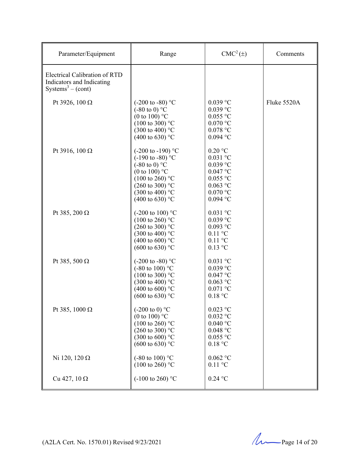| Parameter/Equipment                                                                         | Range                                                                                                                                                                                                                                      | CMC <sup>2</sup> (±)                                                                                        | Comments    |
|---------------------------------------------------------------------------------------------|--------------------------------------------------------------------------------------------------------------------------------------------------------------------------------------------------------------------------------------------|-------------------------------------------------------------------------------------------------------------|-------------|
| Electrical Calibration of RTD<br>Indicators and Indicating<br>Systems <sup>3</sup> – (cont) |                                                                                                                                                                                                                                            |                                                                                                             |             |
| Pt 3926, 100 $\Omega$                                                                       | $(-200 \text{ to } -80)$ °C<br>$(-80 \text{ to } 0)$ °C<br>(0 to 100) $^{\circ}$ C<br>$(100 \text{ to } 300)$ °C<br>$(300 \text{ to } 400)$ °C<br>(400 to 630) $^{\circ}$ C                                                                | $0.039$ °C<br>$0.039$ °C<br>$0.055$ °C<br>$0.070$ °C<br>$0.078$ °C<br>$0.094$ °C                            | Fluke 5520A |
| Pt 3916, 100 $\Omega$                                                                       | $(-200 \text{ to } -190)$ °C<br>$(-190 \text{ to } -80)$ °C<br>$(-80 \text{ to } 0)$ °C<br>(0 to 100) $^{\circ}$ C<br>$(100 \text{ to } 260)$ °C<br>$(260 \text{ to } 300)$ °C<br>$(300 \text{ to } 400)$ °C<br>$(400 \text{ to } 630)$ °C | $0.20$ °C<br>$0.031$ °C<br>$0.039$ °C<br>$0.047$ °C<br>$0.055$ °C<br>$0.063$ °C<br>$0.070$ °C<br>$0.094$ °C |             |
| Pt 385, 200 $\Omega$                                                                        | $(-200 \text{ to } 100)$ °C<br>$(100 \text{ to } 260)$ °C<br>$(260 \text{ to } 300)$ °C<br>$(300 \text{ to } 400)$ °C<br>(400 to 600) $^{\circ}$ C<br>$(600 \text{ to } 630)$ °C                                                           | $0.031$ °C<br>$0.039$ °C<br>$0.093$ °C<br>$0.11$ °C<br>$0.11$ °C<br>$0.13$ °C                               |             |
| Pt 385, 500 $\Omega$                                                                        | $(-200 \text{ to } -80)$ °C<br>$(-80 \text{ to } 100)$ °C<br>$(100 \text{ to } 300)$ °C<br>$(300 \text{ to } 400)$ °C<br>(400 to 600) $^{\circ}$ C<br>$(600 \text{ to } 630)$ °C                                                           | $0.031$ °C<br>$0.039$ °C<br>$0.047$ °C<br>$0.063$ °C<br>$0.071$ °C<br>0.18 °C                               |             |
| Pt 385, 1000 $\Omega$                                                                       | $(-200 \text{ to } 0)$ °C<br>(0 to 100) $^{\circ}$ C<br>$(100 \text{ to } 260)$ °C<br>$(260 \text{ to } 300)$ °C<br>$(300 \text{ to } 600)$ °C<br>$(600 \text{ to } 630)$ °C                                                               | $0.023$ °C<br>$0.032$ °C<br>0.040 °C<br>$0.048$ °C<br>$0.055$ °C<br>0.18 °C                                 |             |
| Ni 120, 120 $\Omega$                                                                        | $(-80 \text{ to } 100)$ °C<br>$(100 \text{ to } 260)$ °C                                                                                                                                                                                   | $0.062$ °C<br>$0.11$ °C                                                                                     |             |
| Cu 427, 10 $\Omega$                                                                         | $(-100 \text{ to } 260)$ °C                                                                                                                                                                                                                | $0.24\ ^\circ\rm{C}$                                                                                        |             |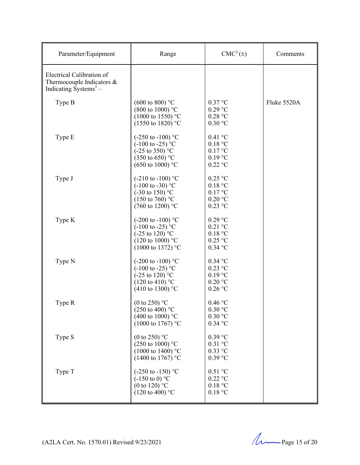| Parameter/Equipment                                                                                     | Range                                                                                                                                                    | $CMC2(\pm)$                                                   | Comments    |
|---------------------------------------------------------------------------------------------------------|----------------------------------------------------------------------------------------------------------------------------------------------------------|---------------------------------------------------------------|-------------|
| Electrical Calibration of<br>Thermocouple Indicators $\&$<br>Indicating $\bar{S}$ ystems <sup>3</sup> – |                                                                                                                                                          |                                                               |             |
| Type B                                                                                                  | $(600 \text{ to } 800)$ °C<br>$(800 \text{ to } 1000)$ °C<br>$(1000 \text{ to } 1550)$ °C<br>$(1550 \text{ to } 1820)$ °C                                | $0.37$ °C<br>$0.29$ °C<br>0.28 °C<br>$0.30$ °C                | Fluke 5520A |
| Type E                                                                                                  | $(-250 \text{ to } -100)$ °C<br>$(-100 \text{ to } -25)$ °C<br>$(-25 \text{ to } 350)$ °C<br>$(350 \text{ to } 650)$ °C<br>$(650 \text{ to } 1000)$ °C   | 0.41 °C<br>0.18 °C<br>0.17 °C<br>$0.19$ °C<br>$0.22$ °C       |             |
| Type J                                                                                                  | $(-210 \text{ to } -100)$ °C<br>$(-100 \text{ to } -30)$ °C<br>$(-30 \text{ to } 150)$ °C<br>$(150 \text{ to } 760)$ °C<br>$(760 \text{ to } 1200)$ °C   | $0.25$ °C<br>0.18 °C<br>0.17 °C<br>$0.20$ °C<br>$0.23$ °C     |             |
| Type K                                                                                                  | $(-200 \text{ to } -100)$ °C<br>$(-100 \text{ to } -25)$ °C<br>$(-25 \text{ to } 120)$ °C<br>$(120 \text{ to } 1000)$ °C<br>$(1000 \text{ to } 1372)$ °C | $0.29$ °C<br>$0.21$ °C<br>0.18 °C<br>$0.25$ °C<br>$0.34$ °C   |             |
| Type N                                                                                                  | $(-200 \text{ to } -100)$ °C<br>$(-100 \text{ to } -25)$ °C<br>$(-25 \text{ to } 120)$ °C<br>$(120 \text{ to } 410)$ °C<br>$(410 \text{ to } 1300)$ °C   | $0.34$ °C<br>$0.23$ °C<br>$0.19$ °C<br>$0.20$ °C<br>$0.26$ °C |             |
| Type R                                                                                                  | (0 to 250) $^{\circ}$ C<br>$(250 \text{ to } 400)$ °C<br>(400 to 1000) $^{\circ}$ C<br>$(1000 \text{ to } 1767)$ °C                                      | 0.46 °C<br>0.30 °C<br>$0.30$ °C<br>$0.34$ °C                  |             |
| Type S                                                                                                  | (0 to 250) $^{\circ}$ C<br>$(250 \text{ to } 1000)$ °C<br>$(1000 \text{ to } 1400)$ °C<br>(1400 to 1767) °C                                              | $0.39$ °C<br>$0.31$ °C<br>$0.33$ °C<br>$0.39$ °C              |             |
| Type T                                                                                                  | $(-250 \text{ to } -150)$ °C<br>$(-150 \text{ to } 0)$ °C<br>(0 to 120) $^{\circ}$ C<br>$(120 \text{ to } 400)$ °C                                       | $0.51$ °C<br>$0.22$ °C<br>0.18 °C<br>0.18 °C                  |             |

(A2LA Cert. No. 1570.01) Revised  $9/23/2021$  Page 15 of 20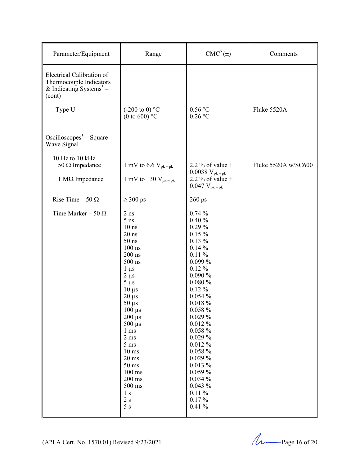| Parameter/Equipment                                                                                   | Range                                                                                                                                                                                                                                                                                                                                                                                               | $CMC2(\pm)$                                                                                                                                                                                                                                                                                                                                                  | Comments            |
|-------------------------------------------------------------------------------------------------------|-----------------------------------------------------------------------------------------------------------------------------------------------------------------------------------------------------------------------------------------------------------------------------------------------------------------------------------------------------------------------------------------------------|--------------------------------------------------------------------------------------------------------------------------------------------------------------------------------------------------------------------------------------------------------------------------------------------------------------------------------------------------------------|---------------------|
| Electrical Calibration of<br>Thermocouple Indicators<br>& Indicating Systems <sup>3</sup> –<br>(cont) |                                                                                                                                                                                                                                                                                                                                                                                                     |                                                                                                                                                                                                                                                                                                                                                              |                     |
| Type U                                                                                                | $(-200 \text{ to } 0)$ °C<br>(0 to 600) $^{\circ}$ C                                                                                                                                                                                                                                                                                                                                                | 0.56 °C<br>$0.26$ °C                                                                                                                                                                                                                                                                                                                                         | Fluke 5520A         |
| Oscilloscopes <sup>3</sup> – Square<br>Wave Signal                                                    |                                                                                                                                                                                                                                                                                                                                                                                                     |                                                                                                                                                                                                                                                                                                                                                              |                     |
| 10 Hz to 10 kHz<br>50 $\Omega$ Impedance<br>$1 M\Omega$ Impedance                                     | 1 mV to 6.6 $V_{pk-pk}$<br>1 mV to 130 $V_{pk-pk}$                                                                                                                                                                                                                                                                                                                                                  | 2.2 % of value $+$<br>$0.0038\ V_{pk-pk}$<br>2.2 % of value +<br>$0.047 V_{pk-pk}$                                                                                                                                                                                                                                                                           | Fluke 5520A w/SC600 |
| Rise Time $-50 \Omega$                                                                                | $\geq 300$ ps                                                                                                                                                                                                                                                                                                                                                                                       | $260$ ps                                                                                                                                                                                                                                                                                                                                                     |                     |
| Time Marker – 50 $\Omega$                                                                             | $2$ ns<br>$5$ ns<br>$10$ ns<br>$20$ ns<br>$50$ ns<br>$100$ ns<br>$200$ ns<br>$500$ ns<br>$1 \mu s$<br>$2 \mu s$<br>$5 \mu s$<br>$10 \mu s$<br>$20 \mu s$<br>$50 \mu s$<br>$100 \mu s$<br>$200 \ \mu s$<br>$500 \mu s$<br>1 <sub>ms</sub><br>$2 \text{ ms}$<br>$5 \text{ ms}$<br>$10 \text{ ms}$<br>$20 \text{ ms}$<br>$50 \text{ ms}$<br>$100$ ms<br>200 ms<br>500 ms<br>1 <sub>s</sub><br>2s<br>5s | $0.74\%$<br>0.40%<br>$0.29\%$<br>$0.15\%$<br>$0.13\%$<br>$0.14\%$<br>$0.11\%$<br>$0.099\,\%$<br>$0.12\%$<br>0.090%<br>0.080%<br>$0.12\%$<br>0.054%<br>$0.018 \%$<br>$0.058 \%$<br>$0.029\%$<br>$0.012\%$<br>$0.058 \%$<br>$0.029\%$<br>$0.012\%$<br>$0.058\%$<br>$0.029\%$<br>$0.013\%$<br>$0.059\%$<br>0.034%<br>$0.043\%$<br>$0.11\%$<br>$0.17\%$<br>0.41% |                     |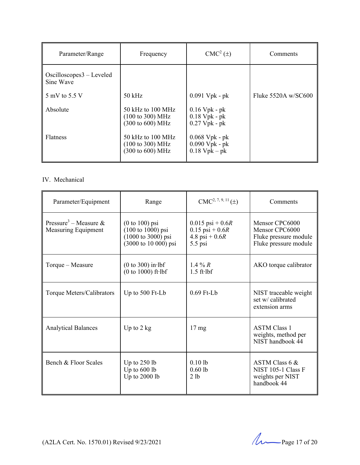| Parameter/Range                         | Frequency                                                                        | $CMC2(\pm)$                                             | Comments            |
|-----------------------------------------|----------------------------------------------------------------------------------|---------------------------------------------------------|---------------------|
| $Oscilloscopes3 - Leveled$<br>Sine Wave |                                                                                  |                                                         |                     |
| 5 mV to 5.5 V                           | $50$ kHz                                                                         | $0.091$ Vpk - pk                                        | Fluke 5520A w/SC600 |
| Absolute                                | $50$ kHz to $100$ MHz<br>$(100 \text{ to } 300) \text{ MHz}$<br>(300 to 600) MHz | $0.16$ Vpk - pk<br>$0.18$ Vpk - pk<br>$0.27$ Vpk - pk   |                     |
| <b>Flatness</b>                         | $50$ kHz to $100$ MHz<br>$(100 \text{ to } 300) \text{ MHz}$<br>(300 to 600) MHz | $0.068$ Vpk - pk<br>$0.090$ Vpk - pk<br>$0.18$ Vpk – pk |                     |

# IV. Mechanical

| Parameter/Equipment                                      | Range                                                                                                 | $CMC2, 7, 9, 11(\pm)$                                                      | Comments                                                                           |
|----------------------------------------------------------|-------------------------------------------------------------------------------------------------------|----------------------------------------------------------------------------|------------------------------------------------------------------------------------|
| Pressure <sup>3</sup> – Measure &<br>Measuring Equipment | $(0 to 100)$ psi<br>$(100 \text{ to } 1000) \text{ psi}$<br>1000 to 3000) psi<br>(3000 to 10 000) psi | $0.015$ psi + 0.6R<br>$0.15$ psi + $0.6R$<br>4.8 psi + $0.6R$<br>$5.5$ psi | Mensor CPC6000<br>Mensor CPC6000<br>Fluke pressure module<br>Fluke pressure module |
| Torque - Measure                                         | $(0 to 300)$ in lbf<br>$(0 to 1000)$ ft $\cdot$ lbf                                                   | 1.4 % $R$<br>$1.5$ ft $\cdot$ lbf                                          | AKO torque calibrator                                                              |
| Torque Meters/Calibrators                                | Up to 500 Ft-Lb                                                                                       | $0.69$ Ft-Lb                                                               | NIST traceable weight<br>set w/ calibrated<br>extension arms                       |
| <b>Analytical Balances</b>                               | Up to $2$ kg                                                                                          | $17 \text{ mg}$                                                            | <b>ASTM Class 1</b><br>weights, method per<br>NIST handbook 44                     |
| Bench & Floor Scales                                     | Up to $250$ lb<br>Up to $600$ lb<br>Up to 2000 lb                                                     | $0.10$ lb<br>$0.60$ lb<br>2 lb                                             | ASTM Class 6 &<br>NIST 105-1 Class F<br>weights per NIST<br>handbook 44            |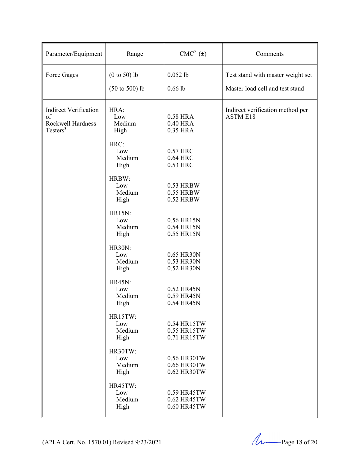| Parameter/Equipment                                                             | Range                                       | $CMC2 (\pm)$                              | Comments                                                             |
|---------------------------------------------------------------------------------|---------------------------------------------|-------------------------------------------|----------------------------------------------------------------------|
| Force Gages                                                                     | $(0 to 50)$ lb<br>$(50 \text{ to } 500)$ lb | $0.052$ lb<br>$0.66$ lb                   | Test stand with master weight set<br>Master load cell and test stand |
| <b>Indirect Verification</b><br>of<br>Rockwell Hardness<br>Testers <sup>3</sup> | HRA:<br>Low<br>Medium<br>High               | 0.58 HRA<br>0.40 HRA<br>0.35 HRA          | Indirect verification method per<br><b>ASTM E18</b>                  |
|                                                                                 | HRC:<br>Low<br>Medium<br>High               | 0.57 HRC<br>0.64 HRC<br>0.53 HRC          |                                                                      |
|                                                                                 | HRBW:<br>Low<br>Medium<br>High              | 0.53 HRBW<br>0.55 HRBW<br>0.52 HRBW       |                                                                      |
|                                                                                 | <b>HR15N:</b><br>Low<br>Medium<br>High      | 0.56 HR15N<br>0.54 HR15N<br>0.55 HR15N    |                                                                      |
|                                                                                 | <b>HR30N:</b><br>Low<br>Medium<br>High      | 0.65 HR30N<br>0.53 HR30N<br>0.52 HR30N    |                                                                      |
|                                                                                 | <b>HR45N:</b><br>Low<br>Medium<br>High      | 0.52 HR45N<br>0.59 HR45N<br>0.54 HR45N    |                                                                      |
|                                                                                 | HR15TW:<br>Low<br>Medium<br>High            | 0.54 HR15TW<br>0.55 HR15TW<br>0.71 HR15TW |                                                                      |
|                                                                                 | HR30TW:<br>Low<br>Medium<br>High            | 0.56 HR30TW<br>0.66 HR30TW<br>0.62 HR30TW |                                                                      |
|                                                                                 | HR45TW:<br>Low<br>Medium<br>High            | 0.59 HR45TW<br>0.62 HR45TW<br>0.60 HR45TW |                                                                      |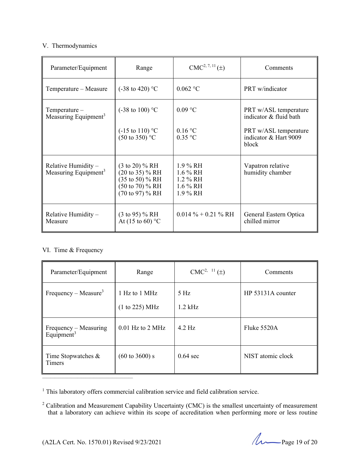## V. Thermodynamics

| Parameter/Equipment                                     | Range                                                                                                                                   | $CMC2, 7, 11(\pm)$                                             | Comments                                                |
|---------------------------------------------------------|-----------------------------------------------------------------------------------------------------------------------------------------|----------------------------------------------------------------|---------------------------------------------------------|
| Temperature – Measure                                   | $(-38 \text{ to } 420)$ °C                                                                                                              | $0.062$ °C                                                     | <b>PRT</b> w/indicator                                  |
| Temperature-<br>Measuring Equipment <sup>3</sup>        | $(-38 \text{ to } 100)$ °C                                                                                                              | $0.09$ °C                                                      | PRT w/ASL temperature<br>indicator & fluid bath         |
|                                                         | $(-15 \text{ to } 110)$ °C<br>$(50 \text{ to } 350)$ °C                                                                                 | 0.16 °C<br>$0.35$ °C                                           | PRT w/ASL temperature<br>indicator & Hart 9009<br>block |
| Relative Humidity -<br>Measuring Equipment <sup>3</sup> | $(3 \text{ to } 20) \% RH$<br>$(20 \text{ to } 35)$ % RH<br>$(35 \text{ to } 50)$ % RH<br>$(50 \text{ to } 70)$ % RH<br>(70 to 97) % RH | $1.9\%$ RH<br>$1.6\%$ RH<br>1.2 % RH<br>$1.6\%$ RH<br>1.9 % RH | Vapatron relative<br>humidity chamber                   |
| Relative Humidity $-$<br>Measure                        | $(3 \text{ to } 95)$ % RH<br>At $(15 \text{ to } 60)$ °C                                                                                | $0.014\% + 0.21\%$ RH                                          | General Eastern Optica<br>chilled mirror                |

# VI. Time & Frequency

| Parameter/Equipment                             | Range                           | $CMC2, 11(\pm)$    | Comments          |
|-------------------------------------------------|---------------------------------|--------------------|-------------------|
| Frequency – Measure <sup>3</sup>                | 1 Hz to 1 MHz<br>(1 to 225) MHz | 5 Hz<br>$1.2$ kHz  | HP 53131A counter |
| Frequency - Measuring<br>Equipment <sup>3</sup> | $0.01$ Hz to 2 MHz              | $4.2$ Hz           | Fluke 5520A       |
| Time Stopwatches $\&$<br><b>Timers</b>          | $(60 \text{ to } 3600)$ s       | $0.64 \text{ sec}$ | NIST atomic clock |

<sup>1</sup> This laboratory offers commercial calibration service and field calibration service.

 $2$  Calibration and Measurement Capability Uncertainty (CMC) is the smallest uncertainty of measurement that a laboratory can achieve within its scope of accreditation when performing more or less routine

(A2LA Cert. No. 1570.01) Revised 9/23/2021 Page 19 of 20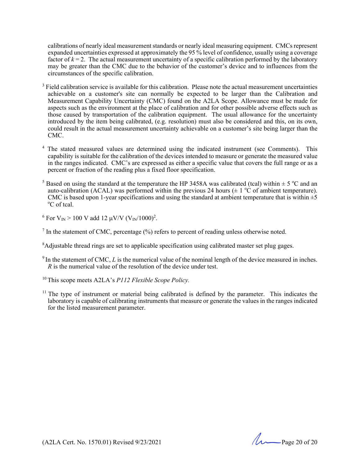calibrations of nearly ideal measurement standards or nearly ideal measuring equipment. CMCs represent expanded uncertainties expressed at approximately the 95 % level of confidence, usually using a coverage factor of  $k = 2$ . The actual measurement uncertainty of a specific calibration performed by the laboratory may be greater than the CMC due to the behavior of the customer's device and to influences from the circumstances of the specific calibration.

- $3$  Field calibration service is available for this calibration. Please note the actual measurement uncertainties achievable on a customer's site can normally be expected to be larger than the Calibration and Measurement Capability Uncertainty (CMC) found on the A2LA Scope. Allowance must be made for aspects such as the environment at the place of calibration and for other possible adverse effects such as those caused by transportation of the calibration equipment. The usual allowance for the uncertainty introduced by the item being calibrated, (e.g. resolution) must also be considered and this, on its own, could result in the actual measurement uncertainty achievable on a customer's site being larger than the CMC.
- The stated measured values are determined using the indicated instrument (see Comments). This capability is suitable for the calibration of the devices intended to measure or generate the measured value in the ranges indicated. CMC's are expressed as either a specific value that covers the full range or as a percent or fraction of the reading plus a fixed floor specification.
- <sup>5</sup> Based on using the standard at the temperature the HP 3458A was calibrated (tcal) within  $\pm$  5 °C and an auto-calibration (ACAL) was performed within the previous 24 hours ( $\pm$  1 °C of ambient temperature). CMC is based upon 1-year specifications and using the standard at ambient temperature that is within  $\pm 5$ <sup>o</sup>C of tcal.

<sup>6</sup> For V<sub>IN</sub> > 100 V add 12 µV/V (V<sub>IN</sub>/1000)<sup>2</sup>.

 $<sup>7</sup>$  In the statement of CMC, percentage (%) refers to percent of reading unless otherwise noted.</sup>

- $9$  In the statement of CMC,  $L$  is the numerical value of the nominal length of the device measured in inches. *R* is the numerical value of the resolution of the device under test.
- 10 This scope meets A2LA's *P112 Flexible Scope Policy.*
- $11$  The type of instrument or material being calibrated is defined by the parameter. This indicates the laboratory is capable of calibrating instruments that measure or generate the values in the ranges indicated for the listed measurement parameter.

(A2LA Cert. No. 1570.01) Revised 9/23/2021 Page 20 of 20

<sup>&</sup>lt;sup>8</sup>Adjustable thread rings are set to applicable specification using calibrated master set plug gages.